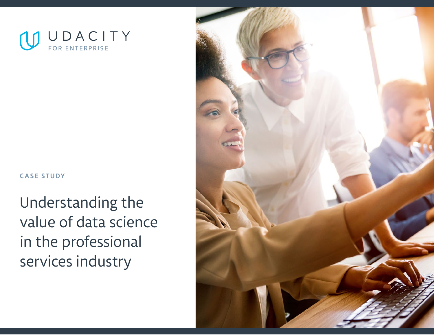

### **CASE STUDY**

Understanding the value of data science in the professional services industry

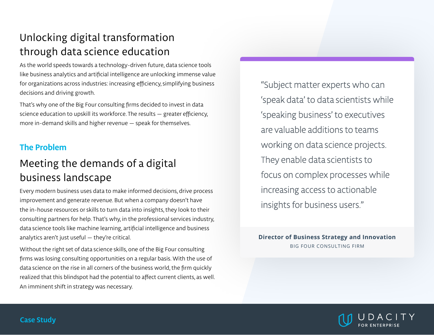# Unlocking digital transformation through data science education

As the world speeds towards a technology-driven future, data science tools like business analytics and artificial intelligence are unlocking immense value for organizations across industries: increasing efficiency, simplifying business decisions and driving growth.

That's why one of the Big Four consulting firms decided to invest in data science education to upskill its workforce. The results — greater efficiency, more in-demand skills and higher revenue — speak for themselves.

## **The Problem**

# Meeting the demands of a digital business landscape

Every modern business uses data to make informed decisions, drive process improvement and generate revenue. But when a company doesn't have the in-house resources or skills to turn data into insights, they look to their consulting partners for help. That's why, in the professional services industry, data science tools like machine learning, artificial intelligence and business analytics aren't just useful — they're critical.

Without the right set of data science skills, one of the Big Four consulting firms was losing consulting opportunities on a regular basis. With the use of data science on the rise in all corners of the business world, the firm quickly realized that this blindspot had the potential to affect current clients, as well. An imminent shift in strategy was necessary.

"Subject matter experts who can 'speak data' to data scientists while 'speaking business' to executives are valuable additions to teams working on data science projects. They enable data scientists to focus on complex processes while increasing access to actionable insights for business users."

**Director of Business Strategy and Innovation**  BIG FOUR CONSULTING FIRM

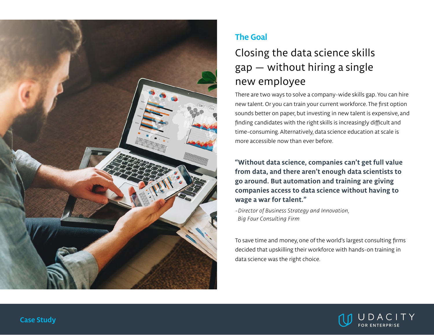

## **The Goal**

# Closing the data science skills gap — without hiring a single new employee

There are two ways to solve a company-wide skills gap. You can hire new talent. Or you can train your current workforce. The first option sounds better on paper, but investing in new talent is expensive, and finding candidates with the right skills is increasingly difficult and time-consuming. Alternatively, data science education at scale is more accessible now than ever before.

**"Without data science, companies can't get full value from data, and there aren't enough data scientists to go around. But automation and training are giving companies access to data science without having to wage a war for talent."**

*-Director of Business Strategy and Innovation, Big Four Consulting Firm*

To save time and money, one of the world's largest consulting firms decided that upskilling their workforce with hands-on training in data science was the right choice.

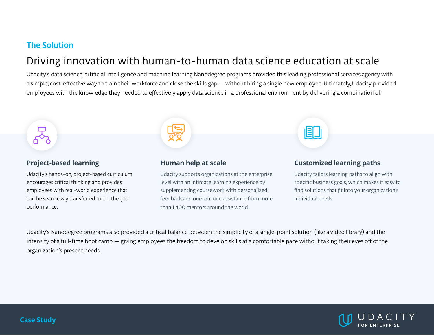### **The Solution**

## Driving innovation with human-to-human data science education at scale

Udacity's data science, artificial intelligence and machine learning Nanodegree programs provided this leading professional services agency with a simple, cost-effective way to train their workforce and close the skills gap — without hiring a single new employee. Ultimately, Udacity provided employees with the knowledge they needed to effectively apply data science in a professional environment by delivering a combination of:



Udacity's hands-on, project-based curriculum encourages critical thinking and provides employees with real-world experience that can be seamlessly transferred to on-the-job performance.



#### **Human help at scale**

Udacity supports organizations at the enterprise level with an intimate learning experience by supplementing coursework with personalized feedback and one-on-one assistance from more than 1,400 mentors around the world.

#### **Customized learning paths**

Udacity tailors learning paths to align with specific business goals, which makes it easy to find solutions that fit into your organization's individual needs.

Udacity's Nanodegree programs also provided a critical balance between the simplicity of a single-point solution (like a video library) and the intensity of a full-time boot camp — giving employees the freedom to develop skills at a comfortable pace without taking their eyes off of the organization's present needs.